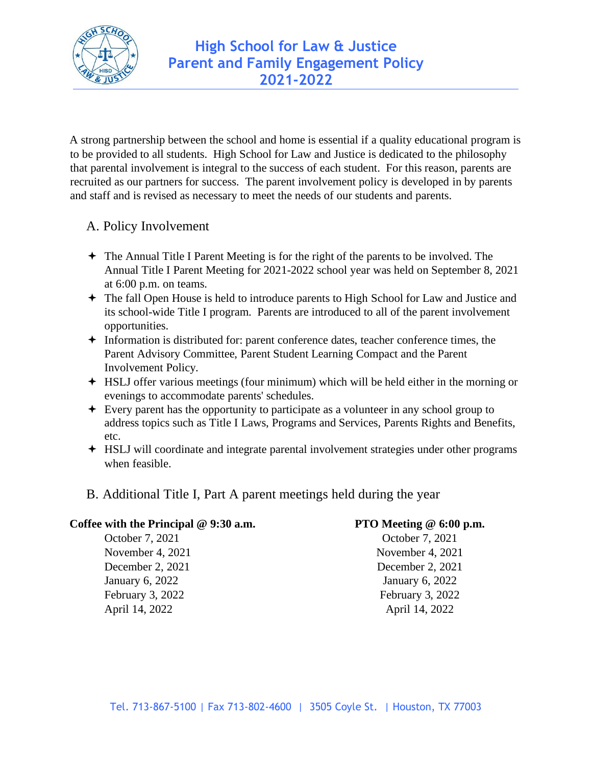

A strong partnership between the school and home is essential if a quality educational program is to be provided to all students. High School for Law and Justice is dedicated to the philosophy that parental involvement is integral to the success of each student. For this reason, parents are recruited as our partners for success. The parent involvement policy is developed in by parents and staff and is revised as necessary to meet the needs of our students and parents.

### A. Policy Involvement

- The Annual Title I Parent Meeting is for the right of the parents to be involved. The Annual Title I Parent Meeting for 2021-2022 school year was held on September 8, 2021 at 6:00 p.m. on teams.
- The fall Open House is held to introduce parents to High School for Law and Justice and its school-wide Title I program. Parents are introduced to all of the parent involvement opportunities.
- Information is distributed for: parent conference dates, teacher conference times, the Parent Advisory Committee, Parent Student Learning Compact and the Parent Involvement Policy.
- HSLJ offer various meetings (four minimum) which will be held either in the morning or evenings to accommodate parents' schedules.
- Every parent has the opportunity to participate as a volunteer in any school group to address topics such as Title I Laws, Programs and Services, Parents Rights and Benefits, etc.
- HSLJ will coordinate and integrate parental involvement strategies under other programs when feasible.
- B. Additional Title I, Part A parent meetings held during the year

#### **Coffee with the Principal @ 9:30 a.m.**

October 7, 2021 November 4, 2021 December 2, 2021 January 6, 2022 February 3, 2022 April 14, 2022

#### **PTO Meeting @ 6:00 p.m.**

October 7, 2021 November 4, 2021 December 2, 2021 January 6, 2022 February 3, 2022 April 14, 2022